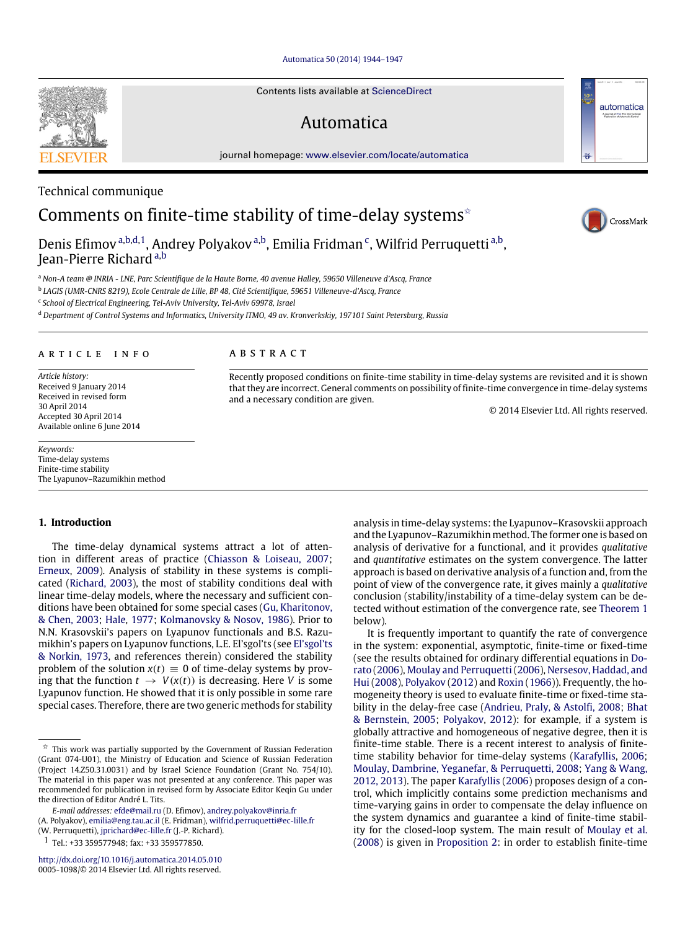#### [Automatica 50 \(2014\) 1944–1947](http://dx.doi.org/10.1016/j.automatica.2014.05.010)

Contents lists available at [ScienceDirect](http://www.elsevier.com/locate/automatica)

## Automatica

journal homepage: [www.elsevier.com/locate/automatica](http://www.elsevier.com/locate/automatica)



### Technical communique

# Comments on finite-time stability of time-delay systems<sup> $\star$ </sup>

Denis Efimov <sup>[a,](#page-0-1)[b](#page-0-2)[,d,](#page-0-3)[1](#page-0-4)</sup>, Andrey Polyakov <sup>a,b</sup>, Emilia Fridman <sup>[c](#page-0-5)</sup>, Wilfrid Perruquetti <sup>a,b</sup>, Jean-Pierre Richard [a,](#page-0-1)[b](#page-0-2)

<span id="page-0-1"></span><sup>a</sup> *Non-A team @ INRIA - LNE, Parc Scientifique de la Haute Borne, 40 avenue Halley, 59650 Villeneuve d'Ascq, France*

<span id="page-0-2"></span>b *LAGIS (UMR-CNRS 8219), Ecole Centrale de Lille, BP 48, Cité Scientifique, 59651 Villeneuve-d'Ascq, France*

<span id="page-0-5"></span>c *School of Electrical Engineering, Tel-Aviv University, Tel-Aviv 69978, Israel*

<span id="page-0-3"></span><sup>d</sup> *Department of Control Systems and Informatics, University ITMO, 49 av. Kronverkskiy, 197101 Saint Petersburg, Russia*

#### ARTICLE INFO

*Article history:* Received 9 January 2014 Received in revised form 30 April 2014 Accepted 30 April 2014 Available online 6 June 2014

*Keywords:* Time-delay systems Finite-time stability The Lyapunov–Razumikhin method

#### **1. Introduction**

The time-delay dynamical systems attract a lot of attention in different areas of practice [\(Chiasson](#page-3-0) [&](#page-3-0) [Loiseau,](#page-3-0) [2007;](#page-3-0) [Erneux,](#page-3-1) [2009\)](#page-3-1). Analysis of stability in these systems is complicated [\(Richard,](#page-3-2) [2003\)](#page-3-2), the most of stability conditions deal with linear time-delay models, where the necessary and sufficient conditions have been obtained for some special cases [\(Gu,](#page-3-3) [Kharitonov,](#page-3-3) [&](#page-3-3) [Chen,](#page-3-3) [2003;](#page-3-3) [Hale,](#page-3-4) [1977;](#page-3-4) [Kolmanovsky](#page-3-5) [&](#page-3-5) [Nosov,](#page-3-5) [1986\)](#page-3-5). Prior to N.N. Krasovskii's papers on Lyapunov functionals and B.S. Razumikhin's papers on Lyapunov functions, L.E. El'sgol'ts (see [El'sgol'ts](#page-3-6) [&](#page-3-6) [Norkin,](#page-3-6) [1973,](#page-3-6) and references therein) considered the stability problem of the solution  $x(t) \equiv 0$  of time-delay systems by proving that the function  $t \to V(x(t))$  is decreasing. Here *V* is some Lyapunov function. He showed that it is only possible in some rare special cases. Therefore, there are two generic methods for stability

(A. Polyakov), [emilia@eng.tau.ac.il](mailto:emilia@eng.tau.ac.il) (E. Fridman), [wilfrid.perruquetti@ec-lille.fr](mailto:wilfrid.perruquetti@ec-lille.fr)

<span id="page-0-4"></span>1 Tel.: +33 359577948; fax: +33 359577850.

<http://dx.doi.org/10.1016/j.automatica.2014.05.010> 0005-1098/© 2014 Elsevier Ltd. All rights reserved.

#### A B S T R A C T

Recently proposed conditions on finite-time stability in time-delay systems are revisited and it is shown that they are incorrect. General comments on possibility of finite-time convergence in time-delay systems and a necessary condition are given.

© 2014 Elsevier Ltd. All rights reserved.

analysis in time-delay systems: the Lyapunov–Krasovskii approach and the Lyapunov–Razumikhin method. The former one is based on analysis of derivative for a functional, and it provides *qualitative* and *quantitative* estimates on the system convergence. The latter approach is based on derivative analysis of a function and, from the point of view of the convergence rate, it gives mainly a *qualitative* conclusion (stability/instability of a time-delay system can be detected without estimation of the convergence rate, see [Theorem 1](#page-1-0) below).

It is frequently important to quantify the rate of convergence in the system: exponential, asymptotic, finite-time or fixed-time [\(](#page-3-7)see the results obtained for ordinary differential equations in [Do](#page-3-7)[rato](#page-3-7) [\(2006\)](#page-3-7), [Moulay](#page-3-8) [and](#page-3-8) [Perruquetti\(2006\)](#page-3-8), [Nersesov,](#page-3-9) [Haddad,](#page-3-9) [and](#page-3-9) [Hui](#page-3-9) [\(2008\)](#page-3-9), [Polyakov](#page-3-10) [\(2012\)](#page-3-10) and [Roxin](#page-3-11) [\(1966\)](#page-3-11)). Frequently, the homogeneity theory is used to evaluate finite-time or fixed-time stability in the delay-free case [\(Andrieu,](#page-3-12) [Praly,](#page-3-12) [&](#page-3-12) [Astolfi,](#page-3-12) [2008;](#page-3-12) [Bhat](#page-3-13) [&](#page-3-13) [Bernstein,](#page-3-13) [2005;](#page-3-13) [Polyakov,](#page-3-10) [2012\)](#page-3-10): for example, if a system is globally attractive and homogeneous of negative degree, then it is finite-time stable. There is a recent interest to analysis of finitetime stability behavior for time-delay systems [\(Karafyllis,](#page-3-14) [2006;](#page-3-14) [Moulay,](#page-3-15) [Dambrine,](#page-3-15) [Yeganefar,](#page-3-15) [&](#page-3-15) [Perruquetti,](#page-3-15) [2008;](#page-3-15) [Yang](#page-3-16) [&](#page-3-16) [Wang,](#page-3-16) [2012,](#page-3-16) [2013\)](#page-3-17). The paper [Karafyllis](#page-3-14) [\(2006\)](#page-3-14) proposes design of a control, which implicitly contains some prediction mechanisms and time-varying gains in order to compensate the delay influence on the system dynamics and guarantee a kind of finite-time stability for the closed-loop system. The main result of [Moulay](#page-3-15) [et al.](#page-3-15) [\(2008\)](#page-3-15) is given in [Proposition 2:](#page-3-18) in order to establish finite-time



automatica

<span id="page-0-0"></span> $\overrightarrow{x}$  This work was partially supported by the Government of Russian Federation (Grant 074-U01), the Ministry of Education and Science of Russian Federation (Project 14.Z50.31.0031) and by Israel Science Foundation (Grant No. 754/10). The material in this paper was not presented at any conference. This paper was recommended for publication in revised form by Associate Editor Keqin Gu under the direction of Editor André L. Tits.

*E-mail addresses:* [efde@mail.ru](mailto:efde@mail.ru) (D. Efimov), [andrey.polyakov@inria.fr](mailto:andrey.polyakov@inria.fr)

<sup>(</sup>W. Perruquetti), [jprichard@ec-lille.fr](mailto:jprichard@ec-lille.fr) (J.-P. Richard).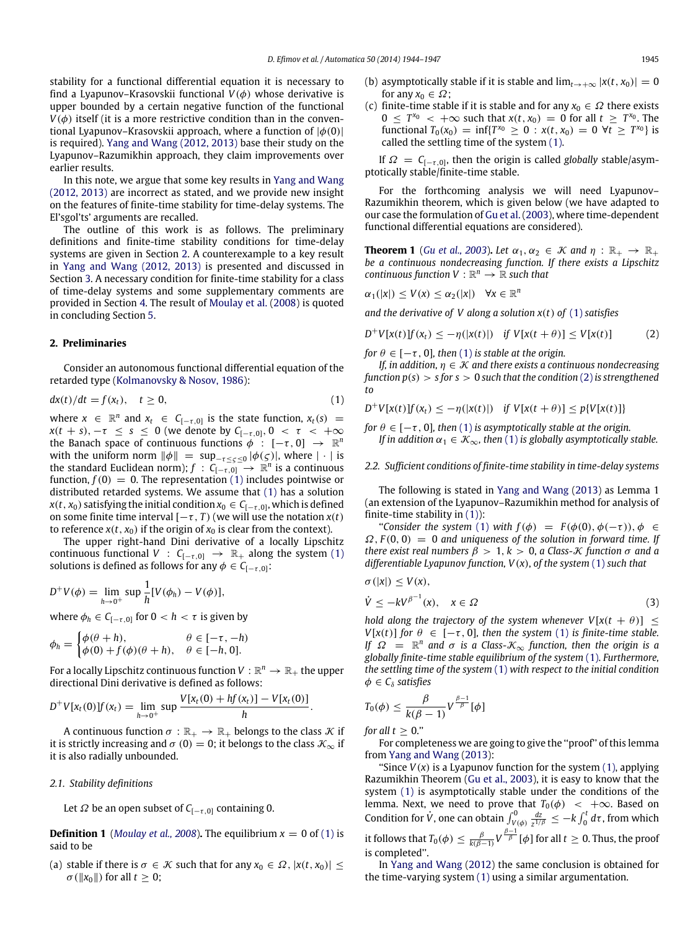stability for a functional differential equation it is necessary to find a Lyapunov–Krasovskii functional  $V(\phi)$  whose derivative is upper bounded by a certain negative function of the functional  $V(\phi)$  itself (it is a more restrictive condition than in the conventional Lyapunov–Krasovskii approach, where a function of  $|\phi(0)|$ is required). [Yang](#page-3-16) [and](#page-3-16) [Wang](#page-3-16) [\(2012,](#page-3-16) [2013\)](#page-3-17) base their study on the Lyapunov–Razumikhin approach, they claim improvements over earlier results.

In this note, we argue that some key results in [Yang](#page-3-16) [and](#page-3-16) [Wang](#page-3-16) [\(2012,](#page-3-16) [2013\)](#page-3-17) are incorrect as stated, and we provide new insight on the features of finite-time stability for time-delay systems. The El'sgol'ts' arguments are recalled.

The outline of this work is as follows. The preliminary definitions and finite-time stability conditions for time-delay systems are given in Section [2.](#page-1-1) A counterexample to a key result in [Yang](#page-3-16) [and](#page-3-16) [Wang](#page-3-16) [\(2012,](#page-3-16) [2013\)](#page-3-17) is presented and discussed in Section [3.](#page-2-0) A necessary condition for finite-time stability for a class of time-delay systems and some supplementary comments are provided in Section [4.](#page-2-1) The result of [Moulay](#page-3-15) [et al.](#page-3-15) [\(2008\)](#page-3-15) is quoted in concluding Section [5.](#page-3-19)

#### <span id="page-1-1"></span>**2. Preliminaries**

Consider an autonomous functional differential equation of the retarded type [\(Kolmanovsky](#page-3-5) [&](#page-3-5) [Nosov,](#page-3-5) [1986\)](#page-3-5):

$$
dx(t)/dt = f(x_t), \quad t \ge 0,
$$
\n(1)

where  $x \in \mathbb{R}^n$  and  $x_t \in C_{[-\tau,0]}$  is the state function,  $x_t(s) =$ *x*(*t* + *s*), −*τ* ≤ *s* ≤ 0 (we denote by  $C_{[-\tau,0]}, 0 < \tau < +\infty$ the Banach space of continuous functions  $\phi$  :  $[-\tau,0] \rightarrow \mathbb{R}^n$ with the uniform norm  $\|\phi\| = \sup_{-\tau \leq \tau \leq 0} |\phi(\tau)|$ , where  $|\cdot|$  is the standard Euclidean norm);  $f : C_{[-\tau,0]} \to \mathbb{R}^n$  is a continuous function,  $f(0) = 0$ . The representation [\(1\)](#page-1-2) includes pointwise or distributed retarded systems. We assume that [\(1\)](#page-1-2) has a solution  $x(t, x_0)$  satisfying the initial condition  $x_0 \in C_{[-\tau, 0]}$ , which is defined on some finite time interval  $[-\tau, T)$  (we will use the notation  $x(t)$ ) to reference  $x(t, x_0)$  if the origin of  $x_0$  is clear from the context).

The upper right-hand Dini derivative of a locally Lipschitz continuous functional *V* :  $C_{[-\tau,0]} \rightarrow \mathbb{R}_+$  along the system [\(1\)](#page-1-2) solutions is defined as follows for any  $\phi \in C_{[-\tau,0]}$ :

$$
D^{+}V(\phi) = \lim_{h \to 0^{+}} \sup \frac{1}{h} [V(\phi_{h}) - V(\phi)],
$$

where  $\phi_h \in C_{[-\tau,0]}$  for  $0 < h < \tau$  is given by

$$
\phi_h = \begin{cases} \phi(\theta + h), & \theta \in [-\tau, -h) \\ \phi(0) + f(\phi)(\theta + h), & \theta \in [-h, 0]. \end{cases}
$$

For a locally Lipschitz continuous function  $V : \mathbb{R}^n \to \mathbb{R}_+$  the upper directional Dini derivative is defined as follows:

$$
D^{+}V[x_{t}(0)]f(x_{t}) = \lim_{h \to 0^{+}} \sup \frac{V[x_{t}(0) + hf(x_{t})] - V[x_{t}(0)]}{h}.
$$

A continuous function  $\sigma : \mathbb{R}_+ \to \mathbb{R}_+$  belongs to the class  $K$  if it is strictly increasing and  $\sigma$  (0) = 0; it belongs to the class  $\mathcal{K}_{\infty}$  if it is also radially unbounded.

#### *2.1. Stability definitions*

Let  $\Omega$  be an open subset of  $C_{[-\tau,0]}$  containing 0.

**Definition 1** (*[Moulay](#page-3-15) [et al.,](#page-3-15) [2008](#page-3-15)*). The equilibrium  $x = 0$  of [\(1\)](#page-1-2) is said to be

(a) stable if there is  $\sigma \in \mathcal{K}$  such that for any  $x_0 \in \Omega$ ,  $|x(t, x_0)| \leq$  $\sigma(||x_0||)$  for all  $t \geq 0$ ;

- (b) asymptotically stable if it is stable and  $\lim_{t\to+\infty} |x(t,x_0)| = 0$ for any  $x_0 \in \Omega$ ;
- (c) finite-time stable if it is stable and for any  $x_0 \in \Omega$  there exists  $0 \leq T^{x_0} < +\infty$  such that  $x(t, x_0) = 0$  for all  $t \geq T^{x_0}$ . The functional  $T_0(x_0) = \inf\{T^{x_0} \ge 0 : x(t, x_0) = 0 \ \forall t \ge T^{x_0}\}$  is called the settling time of the system [\(1\).](#page-1-2)

If  $\Omega = C_{[-\tau,0]}$ , then the origin is called *globally* stable/asymptotically stable/finite-time stable.

For the forthcoming analysis we will need Lyapunov– Razumikhin theorem, which is given below (we have adapted to our case the formulation of [Gu](#page-3-3) [et al.](#page-3-3) [\(2003\)](#page-3-3), where time-dependent functional differential equations are considered).

<span id="page-1-0"></span>**Theorem 1** (*[Gu](#page-3-3) [et al.,](#page-3-3) [2003](#page-3-3)*). Let  $\alpha_1, \alpha_2 \in \mathcal{K}$  and  $\eta : \mathbb{R}_+ \to \mathbb{R}_+$ *be a continuous nondecreasing function. If there exists a Lipschitz continuous function*  $V : \mathbb{R}^n \to \mathbb{R}$  *such that* 

$$
\alpha_1(|x|) \leq V(x) \leq \alpha_2(|x|) \quad \forall x \in \mathbb{R}^n
$$

*and the derivative of V along a solution x*(*t*) *of* [\(1\)](#page-1-2) *satisfies*

<span id="page-1-3"></span>
$$
D^{+}V[x(t)]f(x_{t}) \le -\eta(|x(t)|) \quad \text{if } V[x(t+\theta)] \le V[x(t)] \tag{2}
$$

*for*  $\theta \in [-\tau, 0]$ *, then* [\(1\)](#page-1-2) *is stable at the origin.* 

*If, in addition,*  $\eta \in \mathcal{K}$  *and there exists a continuous nondecreasing function p*(*s*) > *s for s* > 0 *such that the condition* [\(2\)](#page-1-3) *is strengthened to*

<span id="page-1-2"></span>
$$
D^{+}V[x(t)]f(x_t) \leq -\eta(|x(t)|) \text{ if } V[x(t+\theta)] \leq p\{V[x(t)]\}
$$

*for*  $\theta \in [-\tau, 0]$ *, then* [\(1\)](#page-1-2) *is asymptotically stable at the origin. If in addition*  $\alpha_1 \in \mathcal{K}_{\infty}$ , then [\(1\)](#page-1-2) *is globally asymptotically stable.* 

*2.2. Sufficient conditions of finite-time stability in time-delay systems*

The following is stated in [Yang](#page-3-17) [and](#page-3-17) [Wang](#page-3-17) [\(2013\)](#page-3-17) as Lemma 1 (an extension of the Lyapunov–Razumikhin method for analysis of finite-time stability in [\(1\)\)](#page-1-2):

"*Consider the system* [\(1\)](#page-1-2) *with*  $f(\phi) = F(\phi(0), \phi(-\tau))$ ,  $\phi \in$  $\Omega$ ,  $F(0, 0) = 0$  and uniqueness of the solution in forward time. If *there exist real numbers*  $\beta > 1, k > 0$ , *a Class-K function*  $\sigma$  *and a differentiable Lyapunov function, V*(*x*), *of the system* [\(1\)](#page-1-2) *such that*

<span id="page-1-4"></span>
$$
\sigma(|x|) \le V(x),
$$
  
\n
$$
\dot{V} \le -kV^{\beta^{-1}}(x), \quad x \in \Omega
$$
\n(3)

*hold along the trajectory of the system whenever*  $V[x(t + \theta)] \le$ *V*[ $x(t)$ ] *for*  $\theta \in [-\tau, 0]$ *, then the system* [\(1\)](#page-1-2) *is finite-time stable. If*  $\Omega = \mathbb{R}^n$  and  $\sigma$  *is a Class-* $\mathcal{K}_{\infty}$  *function, then the origin is a globally finite-time stable equilibrium of the system* [\(1\).](#page-1-2) *Furthermore, the settling time of the system* [\(1\)](#page-1-2) *with respect to the initial condition*  $\phi \in C_{\delta}$  *satisfies* 

$$
T_0(\phi) \leq \frac{\beta}{k(\beta-1)} V^{\frac{\beta-1}{\beta}}[\phi]
$$

*for all t*  $\geq$  0."

For completeness we are going to give the ''proof'' of this lemma from [Yang](#page-3-17) [and](#page-3-17) [Wang](#page-3-17) [\(2013\)](#page-3-17):

"Since  $V(x)$  is a Lyapunov function for the system  $(1)$ , applying Razumikhin Theorem [\(Gu](#page-3-3) [et al.,](#page-3-3) [2003\)](#page-3-3), it is easy to know that the system [\(1\)](#page-1-2) is asymptotically stable under the conditions of the lemma. Next, we need to prove that  $T_0(\phi) < +\infty$ . Based on Condition for  $\dot{V}$ , one can obtain  $\int_{V(\phi)}^{0} \frac{dz}{z^{1/\beta}} \leq -k \int_{0}^{t} d\tau$ , from which it follows that  $T_0(\phi)\leq \frac{\beta}{k(\beta-1)}V^{\frac{\beta-1}{\beta}}[\phi]$  for all  $t\geq 0.$  Thus, the proof is completed''.

In [Yang](#page-3-16) [and](#page-3-16) [Wang](#page-3-16) [\(2012\)](#page-3-16) the same conclusion is obtained for the time-varying system [\(1\)](#page-1-2) using a similar argumentation.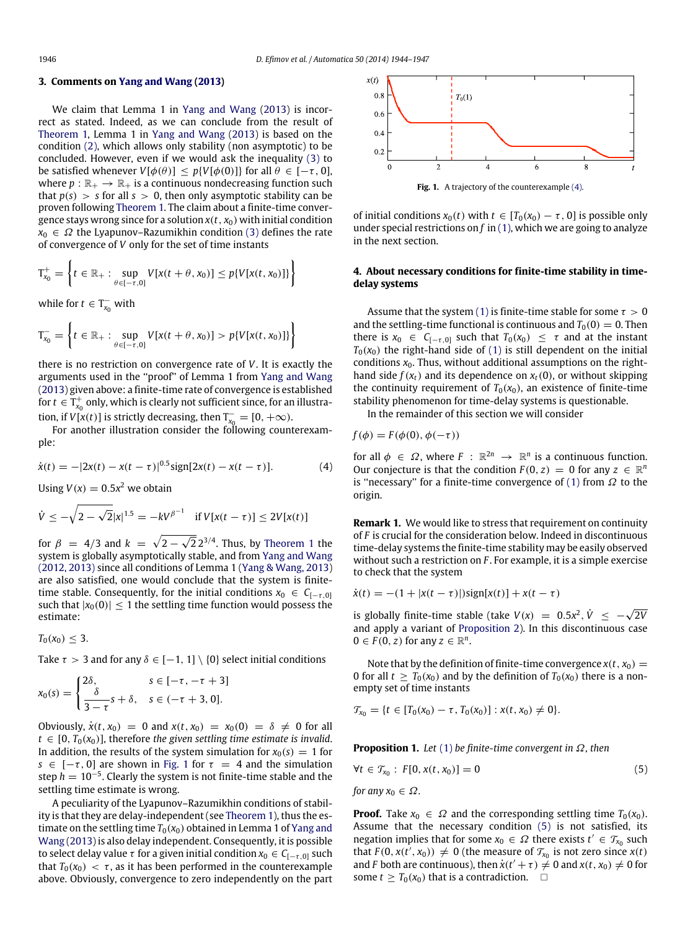#### <span id="page-2-0"></span>**3. Comments on [Yang](#page-3-17) [and](#page-3-17) [Wang](#page-3-17) [\(2013\)](#page-3-17)**

We claim that Lemma 1 in [Yang](#page-3-17) [and](#page-3-17) [Wang](#page-3-17) [\(2013\)](#page-3-17) is incorrect as stated. Indeed, as we can conclude from the result of [Theorem 1,](#page-1-0) Lemma 1 in [Yang](#page-3-17) [and](#page-3-17) [Wang](#page-3-17) [\(2013\)](#page-3-17) is based on the condition [\(2\),](#page-1-3) which allows only stability (non asymptotic) to be concluded. However, even if we would ask the inequality [\(3\)](#page-1-4) to be satisfied whenever  $V[\phi(\theta)] \leq p\{V[\phi(0)]\}$  for all  $\theta \in [-\tau, 0]$ , where  $p : \mathbb{R}_+ \to \mathbb{R}_+$  is a continuous nondecreasing function such that  $p(s) > s$  for all  $s > 0$ , then only asymptotic stability can be proven following [Theorem 1.](#page-1-0) The claim about a finite-time convergence stays wrong since for a solution  $x(t, x_0)$  with initial condition  $x_0 \in \Omega$  the Lyapunov–Razumikhin condition [\(3\)](#page-1-4) defines the rate of convergence of *V* only for the set of time instants

$$
T_{x_0}^+ = \left\{ t \in \mathbb{R}_+ : \sup_{\theta \in [-\tau, 0]} V[x(t + \theta, x_0)] \le p\{V[x(t, x_0)]\} \right\}
$$

while for  $t \in T_{x_0}^-$  with

$$
T_{x_0}^- = \left\{ t \in \mathbb{R}_+ : \sup_{\theta \in [-\tau,0]} V[x(t+\theta,x_0)] > p\{V[x(t,x_0)]\} \right\}
$$

there is no restriction on convergence rate of *V*. It is exactly the arguments used in the ''proof'' of Lemma 1 from [Yang](#page-3-17) [and](#page-3-17) [Wang](#page-3-17) [\(2013\)](#page-3-17) given above: a finite-time rate of convergence is established for  $t \in T_{x_0}^+$  only, which is clearly not sufficient since, for an illustration, if *V*[ $x(t)$ ] is strictly decreasing, then  $T_{x_0}^- = [0, +\infty)$ .

For another illustration consider the following counterexample:

$$
\dot{x}(t) = -|2x(t) - x(t - \tau)|^{0.5} \text{sign}[2x(t) - x(t - \tau)].
$$
 (4)

Using  $V(x) = 0.5x^2$  we obtain

$$
\dot{V} \le -\sqrt{2 - \sqrt{2}} |x|^{1.5} = -kV^{\beta^{-1}}
$$
 if  $V[x(t - \tau)] \le 2V[x(t)]$ 

for  $\beta = 4/3$  and  $k = \sqrt{2-1}$  $\overline{\sqrt{2}}\, 2^{3/4}.$  Thus, by [Theorem 1](#page-1-0) the system is globally asymptotically stable, and from [Yang](#page-3-16) [and](#page-3-16) [Wang](#page-3-16) [\(2012,](#page-3-16) [2013\)](#page-3-17) since all conditions of Lemma 1 [\(Yang](#page-3-17) [&](#page-3-17) [Wang,](#page-3-17) [2013\)](#page-3-17) are also satisfied, one would conclude that the system is finitetime stable. Consequently, for the initial conditions  $x_0 \in C_{[-\tau,0]}$ such that  $|x_0(0)| \leq 1$  the settling time function would possess the estimate:

 $T_0(x_0) \leq 3$ .

Take  $\tau > 3$  and for any  $\delta \in [-1, 1] \setminus \{0\}$  select initial conditions

$$
x_0(s) = \begin{cases} 2\delta, & s \in [-\tau, -\tau + 3] \\ \frac{\delta}{3 - \tau} s + \delta, & s \in (-\tau + 3, 0]. \end{cases}
$$

Obviously,  $\dot{x}(t, x_0) = 0$  and  $x(t, x_0) = x_0(0) = \delta \neq 0$  for all  $t \in [0, T_0(x_0)]$ , therefore *the given settling time estimate is invalid*. In addition, the results of the system simulation for  $x_0(s) = 1$  for *s* ∈  $[-\tau, 0]$  are shown in [Fig. 1](#page-2-2) for  $\tau = 4$  and the simulation step  $h = 10^{-5}$ . Clearly the system is not finite-time stable and the settling time estimate is wrong.

A peculiarity of the Lyapunov–Razumikhin conditions of stability is that they are delay-independent (see [Theorem 1\)](#page-1-0), thus the estimate on the settling time  $T_0(x_0)$  obtained in Lemma 1 of [Yang](#page-3-17) [and](#page-3-17) [Wang](#page-3-17) [\(2013\)](#page-3-17) is also delay independent. Consequently, it is possible to select delay value  $\tau$  for a given initial condition  $x_0 \in C_{[-\tau,0]}$  such that  $T_0(x_0) < \tau$ , as it has been performed in the counterexample above. Obviously, convergence to zero independently on the part

<span id="page-2-2"></span>

**Fig. 1.** A trajectory of the counterexample [\(4\).](#page-2-3)

of initial conditions  $x_0(t)$  with  $t \in [T_0(x_0) - \tau, 0]$  is possible only under special restrictions on *f* in [\(1\),](#page-1-2) which we are going to analyze in the next section.

#### <span id="page-2-1"></span>**4. About necessary conditions for finite-time stability in timedelay systems**

Assume that the system [\(1\)](#page-1-2) is finite-time stable for some  $\tau > 0$ and the settling-time functional is continuous and  $T_0(0) = 0$ . Then there is  $x_0 \in C_{[-\tau,0]}$  such that  $T_0(x_0) \leq \tau$  and at the instant  $T<sub>0</sub>(x<sub>0</sub>)$  the right-hand side of [\(1\)](#page-1-2) is still dependent on the initial conditions  $x_0$ . Thus, without additional assumptions on the righthand side  $f(x_t)$  and its dependence on  $x_t(0)$ , or without skipping the continuity requirement of  $T_0(x_0)$ , an existence of finite-time stability phenomenon for time-delay systems is questionable.

In the remainder of this section we will consider

$$
f(\phi) = F(\phi(0), \phi(-\tau))
$$

<span id="page-2-3"></span>for all  $\phi \in \Omega$ , where  $F : \mathbb{R}^{2n} \to \mathbb{R}^n$  is a continuous function. Our conjecture is that the condition  $F(0, z) = 0$  for any  $z \in \mathbb{R}^n$ is "necessary" for a finite-time convergence of [\(1\)](#page-1-2) from  $\Omega$  to the origin.

**Remark 1.** We would like to stress that requirement on continuity of *F* is crucial for the consideration below. Indeed in discontinuous time-delay systems the finite-time stability may be easily observed without such a restriction on *F* . For example, it is a simple exercise to check that the system

$$
\dot{x}(t) = -(1 + |x(t - \tau)|)sign[x(t)] + x(t - \tau)
$$

is globally finite-time stable (take  $V(x) = 0.5x^2$ ,  $\dot{V} \le -\sqrt{2V}$ and apply a variant of [Proposition 2\)](#page-3-18). In this discontinuous case  $0 \in F(0, z)$  for any  $z \in \mathbb{R}^n$ .

Note that by the definition of finite-time convergence  $x(t, x_0) =$ 0 for all  $t \geq T_0(x_0)$  and by the definition of  $T_0(x_0)$  there is a nonempty set of time instants

$$
\mathcal{T}_{x_0} = \{t \in [T_0(x_0) - \tau, T_0(x_0)] : x(t, x_0) \neq 0\}.
$$

<span id="page-2-4"></span>**Proposition 1.** *Let* [\(1\)](#page-1-2) *be finite-time convergent in* Ω*, then*

$$
\forall t \in \mathcal{T}_{x_0} : F[0, x(t, x_0)] = 0 \tag{5}
$$

*for any*  $x_0 \in \Omega$ .

**Proof.** Take  $x_0 \in \Omega$  and the corresponding settling time  $T_0(x_0)$ . Assume that the necessary condition [\(5\)](#page-2-4) is not satisfied, its negation implies that for some  $x_0 \in \Omega$  there exists  $t' \in \mathcal{T}_{x_0}$  such that  $F(0, x(t', x_0)) \neq 0$  (the measure of  $\mathcal{T}_{x_0}$  is not zero since  $x(t)$ and *F* both are continuous), then  $\dot{x}(t'+\tau) \neq 0$  and  $x(t, x_0) \neq 0$  for some  $t \geq T_0(x_0)$  that is a contradiction.  $\square$